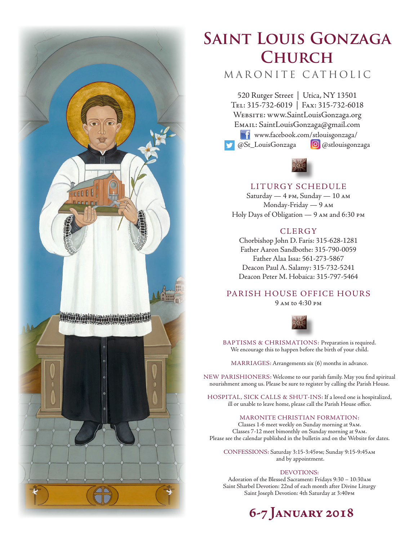

# **Saint Louis Gonzaga Church**

## MARONITE CATHOLIC

520 Rutger Street | Utica, NY 13501 Tel: 315-732-6019 | Fax: 315-732-6018 Website: www.SaintLouisGonzaga.org Email: SaintLouisGonzaga@gmail.com **T1** www.facebook.com/stlouisgonzaga/ @St\_LouisGonzaga **@**@stlouisgonzaga



## LITURGY SCHEDULE

Saturday — 4 pm, Sunday — 10 am Monday-Friday — 9 am Holy Days of Obligation — 9 am and 6:30 pm

## **CLERGY**

Chorbishop John D. Faris: 315-628-1281 Father Aaron Sandbothe: 315-790-0059 Father Alaa Issa: 561-273-5867 Deacon Paul A. Salamy: 315-732-5241 Deacon Peter M. Hobaica: 315-797-5464

## PARISH HOUSE OFFICE HOURS

9 am to 4:30 pm



BAPTISMS & CHRISMATIONS: Preparation is required. We encourage this to happen before the birth of your child.

MARRIAGES: Arrangements six (6) months in advance.

NEW PARISHIONERS: Welcome to our parish family. May you find spiritual nourishment among us. Please be sure to register by calling the Parish House.

HOSPITAL, SICK CALLS & SHUT-INS: If a loved one is hospitalized, ill or unable to leave home, please call the Parish House office.

#### MARONITE CHRISTIAN FORMATION:

Classes 1-6 meet weekly on Sunday morning at 9am. Classes 7-12 meet bimonthly on Sunday morning at 9am. Please see the calendar published in the bulletin and on the Website for dates.

CONFESSIONS: Saturday 3:15-3:45pm; Sunday 9:15-9:45am and by appointment.

#### DEVOTIONS:

Adoration of the Blessed Sacrament: Fridays 9:30 – 10:30am Saint Sharbel Devotion: 22nd of each month after Divine Liturgy Saint Joseph Devotion: 4th Saturday at 3:40pm

## **6-7 January 2018**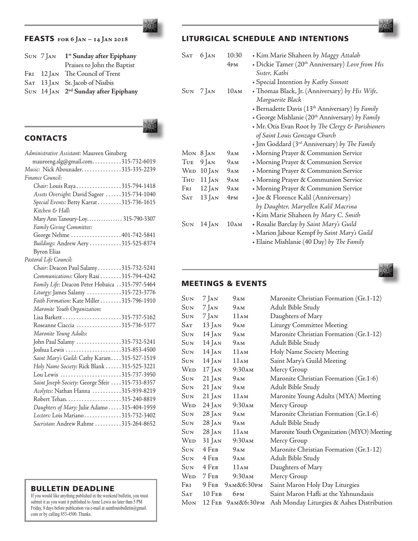If you would like anything published in the weekend bulletin, you must submit it as you want it published to Anne Lewis no later than 5 PM Friday, 8 days before publication via e-mail at saintlouisbulletin@gmail. com or by calling 853-4500. Thanks.

## FEASTS **for 6 Jan – 14 Jan 2018**

| Sun 7 Jan | 1 <sup>st</sup> Sunday after Epiphany            |
|-----------|--------------------------------------------------|
|           | Praises to John the Baptist                      |
|           | FRI 12 JAN The Council of Trent                  |
|           | SAT 13 JAN St. Jacob of Nisibis                  |
|           | SUN 14 JAN 2 <sup>nd</sup> Sunday after Epiphany |

## **CONTACTS**

| Administrative Assistant: Maureen Ginsberg      |
|-------------------------------------------------|
| maureeng.slg@gmail.com315-732-6019              |
| Music: Nick Abounader315-335-2239               |
| Finance Council:                                |
| Chair: Louis Raya315-794-1418                   |
| Assets Oversight: David Sageer 315-734-1040     |
| Special Events: Betty Karrat315-736-1615        |
| Kitchen & Hall:                                 |
| Mary Ann Tanoury-Loy 315-790-3307               |
| Family Giving Committee:                        |
| George Nehme 401-742-5841                       |
| Buildings: Andrew Aery 315-525-8374             |
| <b>Byron Elias</b>                              |
| Pastoral Life Council:                          |
| Chair: Deacon Paul Salamy315-732-5241           |
| Communications: Glory Rasi 315-794-4242         |
| Family Life: Deacon Peter Hobaica 315-797-5464  |
| Liturgy: James Salamy 315-723-3776              |
| Faith Formation: Kate Miller 315-796-1910       |
| Maronite Youth Organization:                    |
|                                                 |
| Roseanne Ciaccia 315-736-5377                   |
| Maronite Young Adults:                          |
| John Paul Salamy 315-732-5241                   |
| Joshua Lewis 315-853-4500                       |
| Saint Mary's Guild: Cathy Karam315-527-1519     |
| Holy Name Society: Rick Blank 315-525-3221      |
| Lou Lewis 315-737-3950                          |
| Saint Joseph Society: George Sfeir 315-733-8357 |
| Acolytes: Nathan Hanna 315-939-8219             |
|                                                 |
| Daughters of Mary: Julie Adamo 315-404-1959     |
| Lectors: Lois Mariano 315-732-3402              |
| Sacristan: Andrew Rahme 315-264-8652            |

## LITURGICAL SCHEDULE AND INTENTIONS

| <b>SAT</b> | $6$ Jan  | 10:30           | • Kim Marie Shaheen by Maggy Attalah                             |
|------------|----------|-----------------|------------------------------------------------------------------|
|            |          | 4 <sub>PM</sub> | + Dickie Tamer (20 <sup>th</sup> Anniversary) Love from His      |
|            |          |                 | Sister, Kathi                                                    |
|            |          |                 | + Special Intention by Kathy Sinnott                             |
| $\rm{Sun}$ | $7$ Jan  | 10AM            | • Thomas Black, Jr. (Anniversary) by His Wife,                   |
|            |          |                 | Marguerite Black                                                 |
|            |          |                 | + Bernadette Davis (13 <sup>th</sup> Anniversary) by Family      |
|            |          |                 | George Mishlanie (20 <sup>th</sup> Anniversary) by Family        |
|            |          |                 | • Mr. Otis Evan Root by The Clergy & Parishioners                |
|            |          |                 | of Saint Louis Gonzaga Church                                    |
|            |          |                 | + Jim Goddard (3 <sup>rd</sup> Anniversary) by <i>The Family</i> |
| Mon        | $8$ Jan  | 9AM             | + Morning Prayer & Communion Service                             |
| TUE        | $9$ Jan  | 9AM             | + Morning Prayer & Communion Service                             |
| <b>WED</b> | $10$ Jan | 9AM             | • Morning Prayer & Communion Service                             |
| Thu        | $11$ JAN | 9AM             | + Morning Prayer & Communion Service                             |
| Fri        | $12$ Jan | 9ам             | + Morning Prayer & Communion Service                             |
| SAT        | $13$ Jan | 4 <sub>PM</sub> | • Joe & Florence Kalil (Anniversary)                             |
|            |          |                 | by Daughter, Maryellen Kalil Macrina                             |
|            |          |                 | Kim Marie Shaheen by Mary C. Smith                               |
| <b>SUN</b> | $14$ Jan | 10AM            | + Rosalie Barclay by Saint Mary's Guild                          |
|            |          |                 | • Marion Jabour Kempf by Saint Mary's Guild                      |
|            |          |                 | • Elaine Mishlanie (40 Day) by The Family                        |



### MEETINGS & EVENTS

| Sun          | $7$ Jan      | 9ам                    | Maronite Christian Formation (Gr.1-12)    |
|--------------|--------------|------------------------|-------------------------------------------|
| Sun          | $7$ Jan      | <b>9</b> <sub>AM</sub> | Adult Bible Study                         |
| Sun          | 7 Jan        | 11AM                   | Daughters of Mary                         |
| Sат          | $13$ Jan     | 9ам                    | Liturgy Committee Meeting                 |
| Sun          | 14 Jan       | 9ам                    | Maronite Christian Formation (Gr.1-12)    |
| Sun          | 14 Jan       | 9ам                    | Adult Bible Study                         |
| Sun          | 14 Jan       | 11AM                   | Holy Name Society Meeting                 |
| Sun          | $14$ Jan     | 11AM                   | Saint Mary's Guild Meeting                |
| Wed          | $17$ Jan     | 9:30 <sub>AM</sub>     | Mercy Group                               |
| Sun          | $21$ Jan     | 9AM                    | Maronite Christian Formation (Gr.1-6)     |
| Sun          | $21$ Jan     | 9ам                    | Adult Bible Study                         |
| Sun          | $21$ Jan     | 11AM                   | Maronite Young Adults (MYA) Meeting       |
|              | $WED 24$ Jan | 9:30 <sub>AM</sub>     | Mercy Group                               |
| $\rm {S}$ un | 28 Jan       | <b>9</b> <sub>AM</sub> | Maronite Christian Formation (Gr.1-6)     |
| Sun          | 28 Jan       | 9ам                    | Adult Bible Study                         |
| Sun          | $28$ Jan     | 11AM                   | Maronite Youth Organization (MYO) Meeting |
| Wed          | $31$ Jan     | 9:30am                 | Mercy Group                               |
| Sun          | 4 Feb        | 9ам                    | Maronite Christian Formation (Gr.1-12)    |
| Sun          | $4$ Feb      | 9ам                    | Adult Bible Study                         |
| Sun          | $4$ Feb      | 11AM                   | Daughters of Mary                         |
|              | WED 7 FEB    | 9:30AM                 | Mercy Group                               |
| Fri          |              | 9 Гев 9 ам&6:30рм      | Saint Maron Holy Day Liturgies            |
|              | $SAT$ 10 Feb | 6 <sub>PM</sub>        | Saint Maron Hafli at the Yahnundasis      |
|              |              | Мон 12 Ғев 9ам&6:30рм  | Ash Monday Liturgies & Ashes Distribution |
|              |              |                        |                                           |